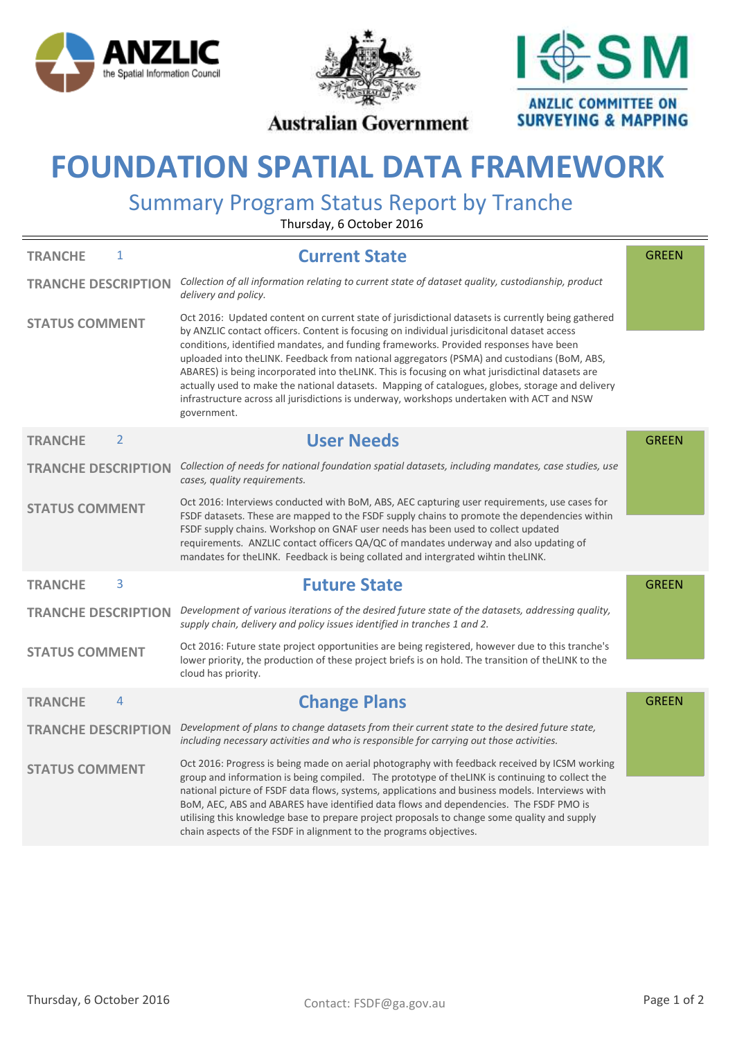





## **Australian Government**

## **FOUNDATION SPATIAL DATA FRAMEWORK**

## Summary Program Status Report by Tranche

Thursday, 6 October 2016

| <b>TRANCHE</b><br>1              | <b>Current State</b>                                                                                                                                                                                                                                                                                                                                                                                                                                                                                                                                                                                                                                                                                         | <b>GREEN</b> |
|----------------------------------|--------------------------------------------------------------------------------------------------------------------------------------------------------------------------------------------------------------------------------------------------------------------------------------------------------------------------------------------------------------------------------------------------------------------------------------------------------------------------------------------------------------------------------------------------------------------------------------------------------------------------------------------------------------------------------------------------------------|--------------|
| <b>TRANCHE DESCRIPTION</b>       | Collection of all information relating to current state of dataset quality, custodianship, product<br>delivery and policy.                                                                                                                                                                                                                                                                                                                                                                                                                                                                                                                                                                                   |              |
| <b>STATUS COMMENT</b>            | Oct 2016: Updated content on current state of jurisdictional datasets is currently being gathered<br>by ANZLIC contact officers. Content is focusing on individual jurisdicitonal dataset access<br>conditions, identified mandates, and funding frameworks. Provided responses have been<br>uploaded into theLINK. Feedback from national aggregators (PSMA) and custodians (BoM, ABS,<br>ABARES) is being incorporated into the LINK. This is focusing on what jurisdictinal datasets are<br>actually used to make the national datasets. Mapping of catalogues, globes, storage and delivery<br>infrastructure across all jurisdictions is underway, workshops undertaken with ACT and NSW<br>government. |              |
| $\overline{2}$<br><b>TRANCHE</b> | <b>User Needs</b>                                                                                                                                                                                                                                                                                                                                                                                                                                                                                                                                                                                                                                                                                            | <b>GREEN</b> |
| <b>TRANCHE DESCRIPTION</b>       | Collection of needs for national foundation spatial datasets, including mandates, case studies, use<br>cases, quality requirements.                                                                                                                                                                                                                                                                                                                                                                                                                                                                                                                                                                          |              |
| <b>STATUS COMMENT</b>            | Oct 2016: Interviews conducted with BoM, ABS, AEC capturing user requirements, use cases for<br>FSDF datasets. These are mapped to the FSDF supply chains to promote the dependencies within<br>FSDF supply chains. Workshop on GNAF user needs has been used to collect updated<br>requirements. ANZLIC contact officers QA/QC of mandates underway and also updating of<br>mandates for theLINK. Feedback is being collated and intergrated wihtin theLINK.                                                                                                                                                                                                                                                |              |
|                                  |                                                                                                                                                                                                                                                                                                                                                                                                                                                                                                                                                                                                                                                                                                              |              |
|                                  |                                                                                                                                                                                                                                                                                                                                                                                                                                                                                                                                                                                                                                                                                                              |              |
| 3<br><b>TRANCHE</b>              | <b>Future State</b>                                                                                                                                                                                                                                                                                                                                                                                                                                                                                                                                                                                                                                                                                          | <b>GREEN</b> |
| <b>TRANCHE DESCRIPTION</b>       | Development of various iterations of the desired future state of the datasets, addressing quality,<br>supply chain, delivery and policy issues identified in tranches 1 and 2.                                                                                                                                                                                                                                                                                                                                                                                                                                                                                                                               |              |
| <b>STATUS COMMENT</b>            | Oct 2016: Future state project opportunities are being registered, however due to this tranche's<br>lower priority, the production of these project briefs is on hold. The transition of the LINK to the<br>cloud has priority.                                                                                                                                                                                                                                                                                                                                                                                                                                                                              |              |
| 4<br><b>TRANCHE</b>              | <b>Change Plans</b>                                                                                                                                                                                                                                                                                                                                                                                                                                                                                                                                                                                                                                                                                          | <b>GREEN</b> |
| <b>TRANCHE DESCRIPTION</b>       | Development of plans to change datasets from their current state to the desired future state,<br>including necessary activities and who is responsible for carrying out those activities.                                                                                                                                                                                                                                                                                                                                                                                                                                                                                                                    |              |
| <b>STATUS COMMENT</b>            | Oct 2016: Progress is being made on aerial photography with feedback received by ICSM working                                                                                                                                                                                                                                                                                                                                                                                                                                                                                                                                                                                                                |              |
|                                  | group and information is being compiled. The prototype of theLINK is continuing to collect the<br>national picture of FSDF data flows, systems, applications and business models. Interviews with<br>BoM, AEC, ABS and ABARES have identified data flows and dependencies. The FSDF PMO is<br>utilising this knowledge base to prepare project proposals to change some quality and supply<br>chain aspects of the FSDF in alignment to the programs objectives.                                                                                                                                                                                                                                             |              |